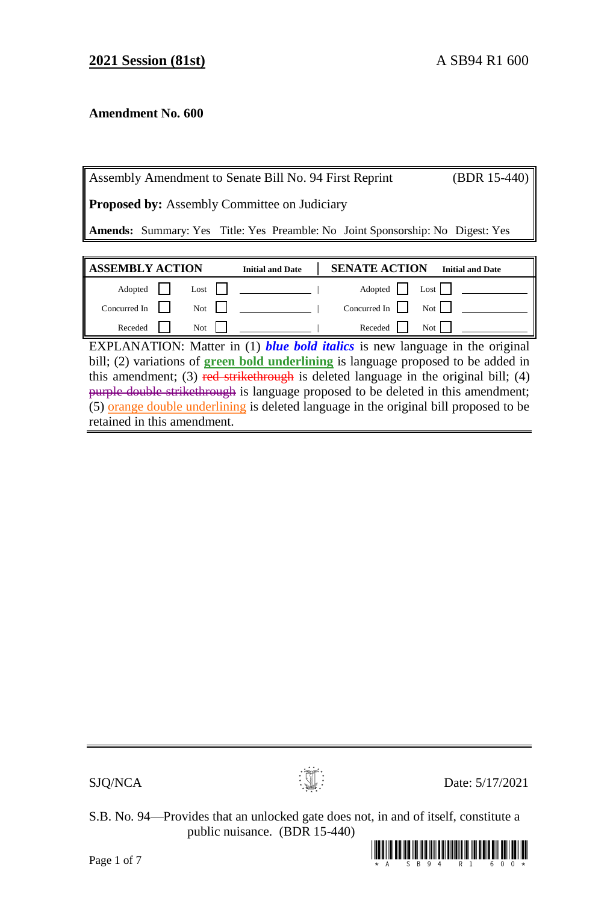## **Amendment No. 600**

| Assembly Amendment to Senate Bill No. 94 First Reprint                                |                         |                      | $(BDR 15-440)$          |  |
|---------------------------------------------------------------------------------------|-------------------------|----------------------|-------------------------|--|
| <b>Proposed by:</b> Assembly Committee on Judiciary                                   |                         |                      |                         |  |
| <b>Amends:</b> Summary: Yes Title: Yes Preamble: No Joint Sponsorship: No Digest: Yes |                         |                      |                         |  |
|                                                                                       |                         |                      |                         |  |
|                                                                                       |                         |                      |                         |  |
| <b>ASSEMBLY ACTION</b>                                                                | <b>Initial and Date</b> | <b>SENATE ACTION</b> | <b>Initial and Date</b> |  |
| Adopted<br>Lost                                                                       |                         | Adopted              | Lost $\mathsf{I}$       |  |

Receded  $\Box$  Not  $\Box$  Receded  $\Box$  Not  $\Box$ EXPLANATION: Matter in (1) *blue bold italics* is new language in the original bill; (2) variations of **green bold underlining** is language proposed to be added in this amendment; (3) red strikethrough is deleted language in the original bill; (4) purple double strikethrough is language proposed to be deleted in this amendment; (5) orange double underlining is deleted language in the original bill proposed to be retained in this amendment.

 $SJQ/NCA$  Date: 5/17/2021

S.B. No. 94—Provides that an unlocked gate does not, in and of itself, constitute a public nuisance. (BDR 15-440)

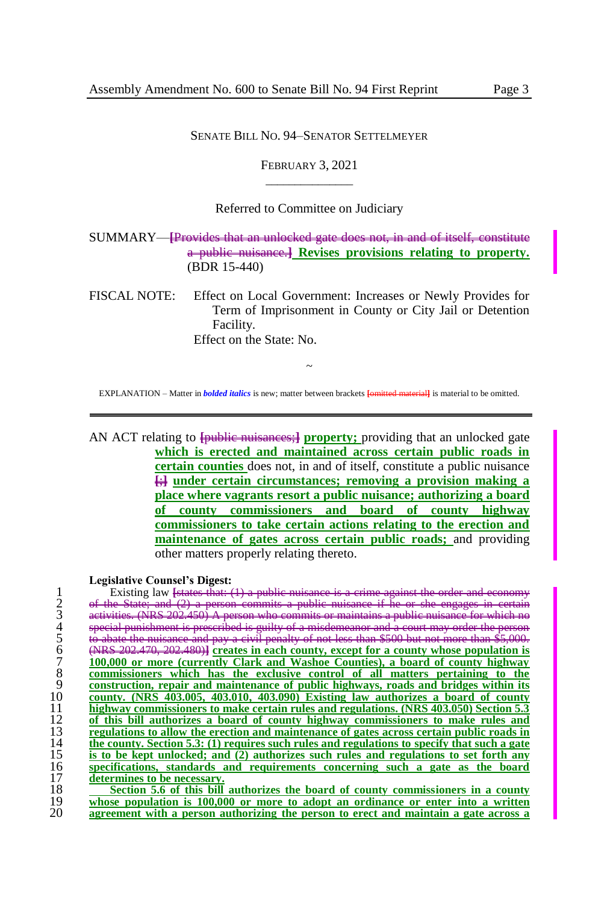#### SENATE BILL NO. 94–SENATOR SETTELMEYER

FEBRUARY 3, 2021  $\overline{\phantom{a}}$  , where  $\overline{\phantom{a}}$ 

#### Referred to Committee on Judiciary

SUMMARY—**[**Provides that an unlocked gate does not, in and of itself, constitute a public nuisance.**] Revises provisions relating to property.** (BDR 15-440)

FISCAL NOTE: Effect on Local Government: Increases or Newly Provides for Term of Imprisonment in County or City Jail or Detention Facility. Effect on the State: No.

~ EXPLANATION – Matter in *bolded italics* is new; matter between brackets **[**omitted material**]** is material to be omitted.

AN ACT relating to **{public nuisances;} property;** providing that an unlocked gate **which is erected and maintained across certain public roads in certain counties** does not, in and of itself, constitute a public nuisance **[**;**] under certain circumstances; removing a provision making a place where vagrants resort a public nuisance; authorizing a board of county commissioners and board of county highway commissioners to take certain actions relating to the erection and maintenance of gates across certain public roads;** and providing other matters properly relating thereto.

**Legislative Counsel's Digest:**

1 Existing law <del>[states that: (1) a publi</del><br>
2 e<del>f the State; and (2) a person commits<br>
activities. (NRS 202.450) A person who<br>
5 epecial punishment is preseribed is guilty<br>
5 (NRS 202.470, 202.480)] <u>creates in eac</u><br>
100,0</del> of the State; and (2) a person commits a public nuisance if he or she engages in certain activities. (NRS 202.450) special punishment is prescribed is guilty of a misdemeanor and a court may order the person 5 to abate the nuisance and pay a civil penalty of not less than \$500 but not more than \$5,000. (NRS 202.470, 202.480)**] creates in each county, except for a county whose population is 100,000 or more (currently Clark and Washoe Counties), a board of county highway commissioners which has the exclusive control of all matters pertaining to the construction, repair and maintenance of public highways, roads and bridges within its county. (NRS 403.005, 403.010, 403.090) Existing law authorizes a board of county highway commissioners to make certain rules and regulations. (NRS 403.050) Section 5.3 of this bill authorizes a board of county highway commissioners to make rules and regulations to allow the erection and maintenance of gates across certain public roads in the county. Section 5.3:** (1) requires such rules and regulations to specify that such a gate<br>15 **is to be kept unlocked:** and (2) authorizes such rules and regulations to set forth any **is to be kept unlocked; and (2) authorizes such rules and regulations to set forth any specifications, standards and requirements concerning such a gate as the board determines to be necessary.**<br>18 **Section 5.6 of this bill Section 5.6 of this bill authorizes the board of county commissioners in a county whose population is 100.000** or more to adopt an ordinance or enter into a written

19 **whose population is 100,000 or more to adopt an ordinance or enter into a written**  20 **agreement with a person authorizing the person to erect and maintain a gate across a**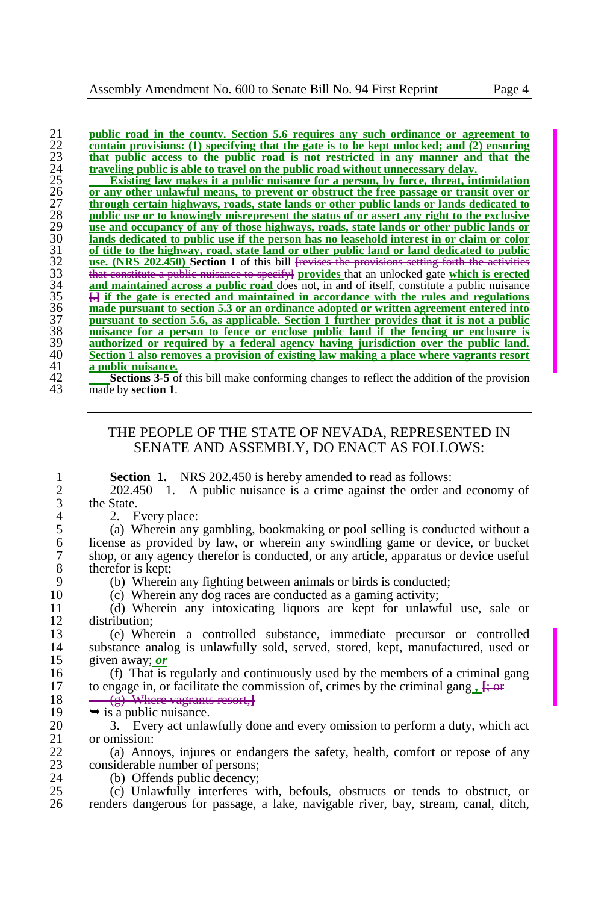22 **contain provisions: (1) specifying that the gate is to be kept unlocked; and (2) ensuring** 23 **that public access to the public road is not restricted in any manner and that the**  traveling public is able to travel on the public road without unnecessary delay.

**public road in the county. Section 5.6 requires any such ordinance or agreement to**<br> **contain provisions:** (1) specifying that the gate is to be kept unlocked; and (2) ensuring<br>
that public access to the public road is no **Existing law makes it a public nuisance for a person, by force, threat, intimidation or any other unlawful means, to prevent or obstruct the free passage or transit over or through certain highways, roads, state lands or other public lands or lands dedicated to public use or to knowingly misrepresent the status of or assert any right to the exclusive use and occupancy of any of those highways, roads, state lands or other public lands or**  lands dedicated to public use if the person has no leasehold interest in or claim or color of title to the highway, road, state land or other public land or land dedicated to public<br>use, (NRS 202.450) Section 1 of this bill <del>frevises the provisions setting forth the activities</del> use. (NRS 202.450) Section 1 of this bill **[**revises the provisions that constitute a public nuisance to specify**] provides** that an unlocked gate **which is erected**   $\frac{34}{1}$  **and maintained across a public road** does not, in and of itself, constitute a public nuisance  $\frac{1}{1}$  if the gate is erected and maintained in accordance with the rules and regulations **H** if the gate is erected and maintained in accordance with the rules and regulations 36 **made pursuant to section 5.3 or an ordinance adopted or written agreement entered into pursuant to section 5.6, as applicable. S** made pursuant to section 5.3 or an ordinance adopted or written agreement entered into **pursuant to section 5.6, as applicable. Section 1 further provides that it is not a public nuisance for a person to fence or enclose public land if the fencing or enclosure is authorized or required by a federal agency having jurisdiction over the public land.**  40 **Section 1 also removes a provision of existing law making a place where vagrants resort a public nuisance.**<br>
42 **A Sections** 3-5 of<br>
43 **a made** by **section** 1

**Sections 3-5** of this bill make conforming changes to reflect the addition of the provision made by **section 1**.

### THE PEOPLE OF THE STATE OF NEVADA, REPRESENTED IN SENATE AND ASSEMBLY, DO ENACT AS FOLLOWS:

**1 Section 1.** NRS 202.450 is hereby amended to read as follows:<br>202.450 1. A public nuisance is a crime against the order and

2 202.450 1. A public nuisance is a crime against the order and economy of the State.  $3$  the State.<br>4 2. E

4 2. Every place:<br>5 (a) Wherein any 5 (a) Wherein any gambling, bookmaking or pool selling is conducted without a 6 license as provided by law, or wherein any swindling game or device, or bucket 7 shop, or any agency therefor is conducted, or any article, apparatus or device useful 8 therefor is kept;<br>9 (b) Wherein

9 (b) Wherein any fighting between animals or birds is conducted;<br>10 (c) Wherein any dog races are conducted as a gaming activity:

10 (c) Wherein any dog races are conducted as a gaming activity;

11 (d) Wherein any intoxicating liquors are kept for unlawful use, sale or 12 distribution;<br>13 (e) Whe

13 (e) Wherein a controlled substance, immediate precursor or controlled 14 substance analog is unlawfully sold, served, stored, kept, manufactured, used or  $15$  siven away: *or* given away; *or* 

16 (f) That is regularly and continuously used by the members of a criminal gang<br>17 to engage in, or facilitate the commission of, crimes by the criminal gang,  $\frac{1}{1+\Theta^2}$ 17 to engage in, or facilitate the commission of, crimes by the criminal gang  $\frac{1}{2}$ ; or 18  $\frac{(c)$  Where vectors resort **1** 

# 18  $\leftarrow$  (g) Where vagrants resort,**}**<br>19  $\rightarrow$  is a public nuisance.

19  $\rightarrow$  is a public nuisance.<br>20  $\rightarrow$  3. Every act unlay

20 3. Every act unlawfully done and every omission to perform a duty, which act 21 or omission:  $\begin{array}{cc} 21 & \text{or omission:} \\ 22 & \text{(a) Ann} \end{array}$ 

22 (a) Annoys, injures or endangers the safety, health, comfort or repose of any considerable number of persons: 23 considerable number of persons;<br>24 (b) Offends public decency:

24 (b) Offends public decency;<br>25 (c) Unlawfully interferes w 25 (c) Unlawfully interferes with, befouls, obstructs or tends to obstruct, or 26 renders dangerous for passage, a lake, navigable river, bay, stream, canal, ditch,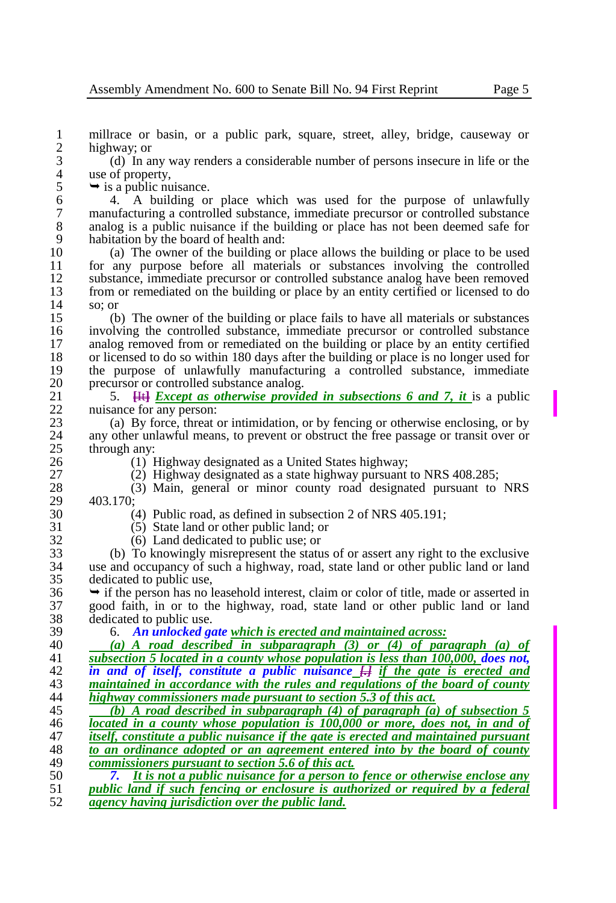1 millrace or basin, or a public park, square, street, alley, bridge, causeway or  $\frac{2}{3}$  highway; or

3 (d) In any way renders a considerable number of persons insecure in life or the 4 use of property,<br>5  $\rightarrow$  is a public nu

 $5 \rightarrow$  is a public nuisance.<br>6  $4.$  A building or

 4. A building or place which was used for the purpose of unlawfully manufacturing a controlled substance, immediate precursor or controlled substance analog is a public nuisance if the building or place has not been deemed safe for 9 habitation by the board of health and:<br>10 (a) The owner of the building or

10 (a) The owner of the building or place allows the building or place to be used<br>11 for any purpose before all materials or substances involving the controlled 11 for any purpose before all materials or substances involving the controlled<br>12 substance immediate precursor or controlled substance analog have been removed 12 substance, immediate precursor or controlled substance analog have been removed<br>13 from or remediated on the building or place by an entity certified or licensed to do 13 from or remediated on the building or place by an entity certified or licensed to do 14 so: or  $\begin{array}{cc} 14 & \text{so; or} \\ 15 & \text{(b)} \end{array}$ 

15 (b) The owner of the building or place fails to have all materials or substances involving the controlled substance, immediate precursor or controlled substance 16 involving the controlled substance, immediate precursor or controlled substance<br>17 analog removed from or remediated on the building or place by an entity certified 17 analog removed from or remediated on the building or place by an entity certified<br>18 or licensed to do so within 180 days after the building or place is no longer used for 18 or licensed to do so within 180 days after the building or place is no longer used for<br>19 the purpose of unlawfully manufacturing a controlled substance, immediate 19 the purpose of unlawfully manufacturing a controlled substance, immediate or controlled substance analog 20 precursor or controlled substance analog.<br>21 5. Hether *Except as otherwise provid* 

21 5. **<del>[It]</del>** *Except as otherwise provided in subsections 6 and 7, it* **is a public nuisance for any person:** 22 nuisance for any person:<br>23 (a) By force, threat

23 (a) By force, threat or intimidation, or by fencing or otherwise enclosing, or by any other unlawful means, to prevent or obstruct the free passage or transit over or 24 any other unlawful means, to prevent or obstruct the free passage or transit over or through any:  $25$  through any:<br> $26$   $(1)$  I

26 (1) Highway designated as a United States highway;<br>27 (2) Highway designated as a state highway pursuant

27 (2) Highway designated as a state highway pursuant to NRS 408.285;<br>28 (3) Main, general or minor county road designated pursuant to

28 (3) Main, general or minor county road designated pursuant to NRS 29 403.170;<br>30

30 (4) Public road, as defined in subsection 2 of NRS 405.191;<br>31 (5) State land or other public land: or

31 (5) State land or other public land; or 32 (6) Land dedicated to public use: or

32 (6) Land dedicated to public use; or<br>33 (b) To knowingly misrepresent the statu

33 (b) To knowingly misrepresent the status of or assert any right to the exclusive 34 use and occupancy of such a highway, road, state land or other public land or land dedicated to public use,

 $36 \rightarrow$  if the person has no leasehold interest, claim or color of title, made or asserted in  $37 \quad$  good faith, in or to the highway, road, state land or other public land or land 37 good faith, in or to the highway, road, state land or other public land or land 38 dedicated to public use.<br>39 6. An unlocked  $\mathfrak{g}_l$ 

39 6. *An unlocked gate which is erected and maintained across:* 

40 *(a) A road described in subparagraph (3) or (4) of paragraph (a) of*  subsection 5 located in a county whose population is less than 100,000, does not, 42 *in and of itself, constitute a public nuisance [.] if the gate is erected and*  43 *maintained in accordance with the rules and regulations of the board of county highway commissioners made pursuant to section 5.3 of this act.* 

 *(b) A road described in subparagraph (4) of paragraph (a) of subsection 5 located in a county whose population is 100,000 or more, does not, in and of itself, constitute a public nuisance if the gate is erected and maintained pursuant to an ordinance adopted or an agreement entered into by the board of county* commissioners pursuant to section 5.6 of this act. *commissioners pursuant to section 5.6 of this act.*

50 *7. It is not a public nuisance for a person to fence or otherwise enclose any*  51 *public land if such fencing or enclosure is authorized or required by a federal*  52 *agency having jurisdiction over the public land.*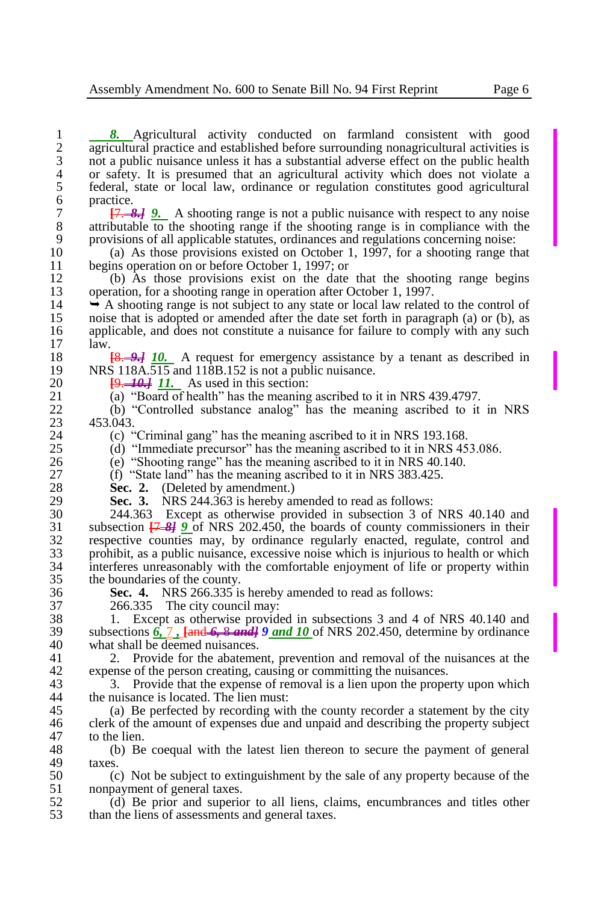1 **8.** Agricultural activity conducted on farmland consistent with good<br>2 agricultural practice and established before surrounding nonagricultural activities is 2 agricultural practice and established before surrounding nonagricultural activities is<br>3 not a public nuisance unless it has a substantial adverse effect on the public health 3 not a public nuisance unless it has a substantial adverse effect on the public health<br>4 or safety. It is presumed that an agricultural activity which does not violate a 4 or safety. It is presumed that an agricultural activity which does not violate a<br>5 federal, state or local law, ordinance or regulation constitutes good agricultural 5 federal, state or local law, ordinance or regulation constitutes good agricultural 6 practice.<br>7  $\frac{17}{2}$ 

7 **[**7. *8.] 9.* A shooting range is not a public nuisance with respect to any noise 8 attributable to the shooting range if the shooting range is in compliance with the provisions of all applicable statutes, ordinances and regulations concerning noise: 9 provisions of all applicable statutes, ordinances and regulations concerning noise:<br>10 (a) As those provisions existed on October 1, 1997, for a shooting range the

10 (a) As those provisions existed on October 1, 1997, for a shooting range that 11 begins operation on or before October 1, 1997; or<br>12 (b) As those provisions exist on the date

12 (b) As those provisions exist on the date that the shooting range begins operation. for a shooting range in operation after October 1, 1997. 13 operation, for a shooting range in operation after October 1, 1997.<br>14  $\rightarrow$  A shooting range is not subject to any state or local law related

14  $\rightarrow$  A shooting range is not subject to any state or local law related to the control of noise that is adopted or amended after the date set forth in paragraph (a) or (b), as 15 noise that is adopted or amended after the date set forth in paragraph (a) or (b), as<br>16 applicable, and does not constitute a nuisance for failure to comply with any such 16 applicable, and does not constitute a nuisance for failure to comply with any such 17 law. law.

18 **[8.** *9.]* **10.** A request for emergency assistance by a tenant as described in NRS 118A.515 and 118B.152 is not a public nuisance. 19 NRS 118A.515 and 118B.152 is not a public nuisance.<br>20  $19-44+11$ . As used in this section:

20  $\frac{[9,-40,7]}{11}$  As used in this section:<br>21 (a) "Board of health" has the meaning

21 (a) "Board of health" has the meaning ascribed to it in NRS 439.4797.<br>22 (b) "Controlled substance analog" has the meaning ascribed to it

22 (b) "Controlled substance analog" has the meaning ascribed to it in NRS<br>23 453.043. 23 453.043.<br>24 (c) "

24 (c) "Criminal gang" has the meaning ascribed to it in NRS 193.168.<br>25 (d) "Immediate precursor" has the meaning ascribed to it in NRS 45

25 (d) "Immediate precursor" has the meaning ascribed to it in NRS 453.086.<br>26 (e) "Shooting range" has the meaning ascribed to it in NRS 40.140.

26 (e) "Shooting range" has the meaning ascribed to it in NRS 40.140.<br>27 (f) "State land" has the meaning ascribed to it in NRS 383.425.

27 (f) "State land" has the meaning ascribed to it in NRS 383.425.<br>28 Sec. 2. (Deleted by amendment.)

28 **Sec. 2.** (Deleted by amendment.)<br>29 **Sec. 3.** NRS 244.363 is hereby an

29 **Sec. 3.** NRS 244.363 is hereby amended to read as follows:<br>30 244.363 Except as otherwise provided in subsection 3 of

30 244.363 Except as otherwise provided in subsection 3 of NRS 40.140 and<br>31 subsection  $\overline{17}$ ,  $\overline{24}$  9 of NRS 202.450, the boards of county commissioners in their subsection **[**7 *8] 9* of NRS 202.450, the boards of county commissioners in their respective counties may, by ordinance regularly enacted, regulate, control and prohibit, as a public nuisance, excessive noise which is injurious to health or which interferes unreasonably with the comfortable enjoyment of life or property within the boundaries of the county.

36 **Sec. 4.** NRS 266.335 is hereby amended to read as follows:

37 266.335 The city council may:<br>38 1. Except as otherwise provident 38 1. Except as otherwise provided in subsections 3 and 4 of NRS 40.140 and 39 subsections 6. 7. Land 6. 8 and 19 of NRS 202.450, determine by ordinance 39 subsections *6,* 7 *,* **[**and *6,* 8 *and] 9 and 10* of NRS 202.450, determine by ordinance 40 what shall be deemed nuisances.<br>41 2. Provide for the abateme

41 2. Provide for the abatement, prevention and removal of the nuisances at the 42 expense of the person creating, causing or committing the nuisances.<br>43 3. Provide that the expense of removal is a lien upon the prope

43 3. Provide that the expense of removal is a lien upon the property upon which<br>44 the nuisance is located. The lien must: the nuisance is located. The lien must:

45 (a) Be perfected by recording with the county recorder a statement by the city<br>46 clerk of the amount of expenses due and unpaid and describing the property subject 46 clerk of the amount of expenses due and unpaid and describing the property subject to the lien. 47 to the lien.<br>48 (b) Be

48 (b) Be coequal with the latest lien thereon to secure the payment of general 49  $\qquad$  taxes.<br>50  $\qquad$  (c

50 (c) Not be subject to extinguishment by the sale of any property because of the 51 nonpayment of general taxes.<br>52 (d) Be prior and superior

52 (d) Be prior and superior to all liens, claims, encumbrances and titles other than the liens of assessments and general taxes. than the liens of assessments and general taxes.